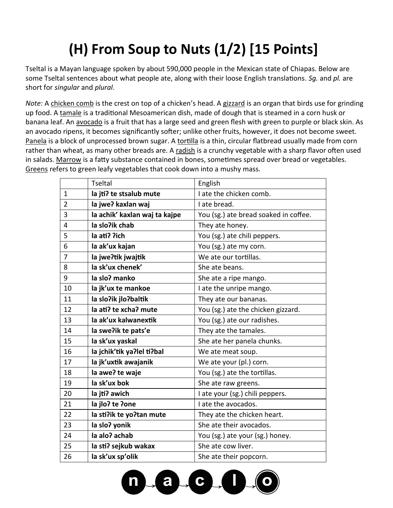## **(H) From Soup to Nuts (1/2) [15 Points]**

Tseltal is a Mayan language spoken by about 590,000 people in the Mexican state of Chiapas. Below are some Tseltal sentences about what people ate, along with their loose English translations. *Sg.* and *pl.* are short for *singular* and *plural*.

*Note:* A chicken comb is the crest on top of a chicken's head. A gizzard is an organ that birds use for grinding up food. A tamale is a traditional Mesoamerican dish, made of dough that is steamed in a corn husk or banana leaf. An avocado is a fruit that has a large seed and green flesh with green to purple or black skin. As an avocado ripens, it becomes significantly softer; unlike other fruits, however, it does not become sweet. Panela is a block of unprocessed brown sugar. A tortilla is a thin, circular flatbread usually made from corn rather than wheat, as many other breads are. A radish is a crunchy vegetable with a sharp flavor often used in salads. Marrow is a fatty substance contained in bones, sometimes spread over bread or vegetables. Greens refers to green leafy vegetables that cook down into a mushy mass.

|                | <b>Tseltal</b>                | English                               |
|----------------|-------------------------------|---------------------------------------|
| $\mathbf{1}$   | la jti? te stsalub mute       | I ate the chicken comb.               |
| $\overline{2}$ | la jwe? kaxlan waj            | I ate bread.                          |
| 3              | la achik' kaxlan waj ta kajpe | You (sg.) ate bread soaked in coffee. |
| 4              | la slo?ik chab                | They ate honey.                       |
| 5              | la ati? ?ich                  | You (sg.) ate chili peppers.          |
| 6              | la ak'ux kajan                | You (sg.) ate my corn.                |
| 7              | la jwe?tik jwajtik            | We ate our tortillas.                 |
| 8              | la sk'ux chenek'              | She ate beans.                        |
| 9              | la slo? manko                 | She ate a ripe mango.                 |
| 10             | la jk'ux te mankoe            | I ate the unripe mango.               |
| 11             | la slo?ik jlo?baltik          | They ate our bananas.                 |
| 12             | la ati? te xcha? mute         | You (sg.) ate the chicken gizzard.    |
| 13             | la ak'ux kalwanextik          | You (sg.) ate our radishes.           |
| 14             | la swe?ik te pats'e           | They ate the tamales.                 |
| 15             | la sk'ux yaskal               | She ate her panela chunks.            |
| 16             | la jchik'tik ya?lel ti?bal    | We ate meat soup.                     |
| 17             | la jk'uxtik awajanik          | We ate your (pl.) corn.               |
| 18             | la awe? te waje               | You (sg.) ate the tortillas.          |
| 19             | la sk'ux bok                  | She ate raw greens.                   |
| 20             | la jti? awich                 | I ate your (sg.) chili peppers.       |
| 21             | la jlo? te ?one               | I ate the avocados.                   |
| 22             | la sti?ik te yo?tan mute      | They ate the chicken heart.           |
| 23             | la slo? yonik                 | She ate their avocados.               |
| 24             | la alo? achab                 | You (sg.) ate your (sg.) honey.       |
| 25             | la sti? sejkub wakax          | She ate cow liver.                    |
| 26             | la sk'ux sp'olik              | She ate their popcorn.                |